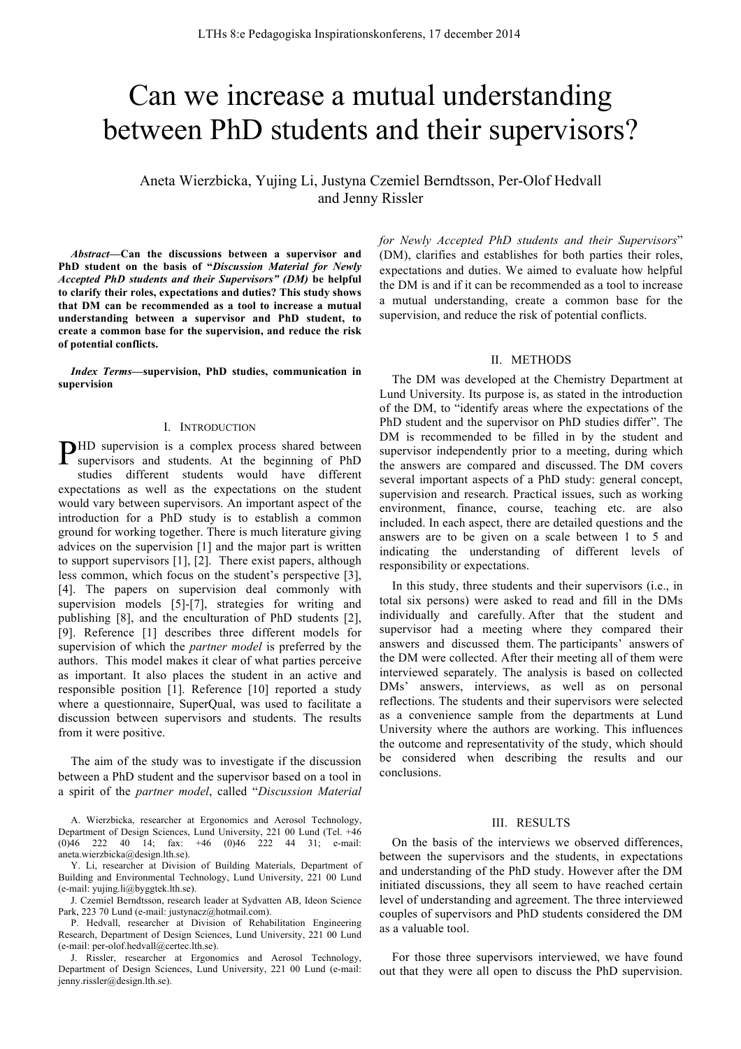# Can we increase a mutual understanding between PhD students and their supervisors?

Aneta Wierzbicka, Yujing Li, Justyna Czemiel Berndtsson, Per-Olof Hedvall and Jenny Rissler

*Abstract***—Can the discussions between a supervisor and PhD student on the basis of "***Discussion Material for Newly Accepted PhD students and their Supervisors" (DM)* **be helpful to clarify their roles, expectations and duties? This study shows that DM can be recommended as a tool to increase a mutual understanding between a supervisor and PhD student, to create a common base for the supervision, and reduce the risk of potential conflicts.**

*Index Terms***—supervision, PhD studies, communication in supervision**

#### I. INTRODUCTION

PHD supervision is a complex process shared between supervisors and students. At the beginning of PhD supervisors and students. At the beginning of PhD studies different students would have different expectations as well as the expectations on the student would vary between supervisors. An important aspect of the introduction for a PhD study is to establish a common ground for working together. There is much literature giving advices on the supervision [1] and the major part is written to support supervisors [1], [2]. There exist papers, although less common, which focus on the student's perspective [3], [4]. The papers on supervision deal commonly with supervision models [5]-[7], strategies for writing and publishing [8], and the enculturation of PhD students [2], [9]. Reference [1] describes three different models for supervision of which the *partner model* is preferred by the authors. This model makes it clear of what parties perceive as important. It also places the student in an active and responsible position [1]. Reference [10] reported a study where a questionnaire, SuperQual, was used to facilitate a discussion between supervisors and students. The results from it were positive.

The aim of the study was to investigate if the discussion between a PhD student and the supervisor based on a tool in a spirit of the *partner model*, called "*Discussion Material* 

A. Wierzbicka, researcher at Ergonomics and Aerosol Technology, Department of Design Sciences, Lund University, 221 00 Lund (Tel. +46<br>(0)46 222 40 14; fax: +46 (0)46 222 44 31; e-mail:  $(0)46$  222 40 14; fax: +46 aneta.wierzbicka@design.lth.se).

Y. Li, researcher at Division of Building Materials, Department of Building and Environmental Technology, Lund University, 221 00 Lund (e-mail: yujing.li@byggtek.lth.se).

J. Czemiel Berndtsson, research leader at Sydvatten AB, Ideon Science Park, 223 70 Lund (e-mail: justynacz@hotmail.com).

P. Hedvall, researcher at Division of Rehabilitation Engineering Research, Department of Design Sciences, Lund University, 221 00 Lund (e-mail: per-olof.hedvall@certec.lth.se).

J. Rissler, researcher at Ergonomics and Aerosol Technology, Department of Design Sciences, Lund University, 221 00 Lund (e-mail: jenny.rissler@design.lth.se).

*for Newly Accepted PhD students and their Supervisors*" (DM), clarifies and establishes for both parties their roles, expectations and duties. We aimed to evaluate how helpful the DM is and if it can be recommended as a tool to increase a mutual understanding, create a common base for the supervision, and reduce the risk of potential conflicts.

## II. METHODS

The DM was developed at the Chemistry Department at Lund University. Its purpose is, as stated in the introduction of the DM, to "identify areas where the expectations of the PhD student and the supervisor on PhD studies differ". The DM is recommended to be filled in by the student and supervisor independently prior to a meeting, during which the answers are compared and discussed. The DM covers several important aspects of a PhD study: general concept, supervision and research. Practical issues, such as working environment, finance, course, teaching etc. are also included. In each aspect, there are detailed questions and the answers are to be given on a scale between 1 to 5 and indicating the understanding of different levels of responsibility or expectations.

In this study, three students and their supervisors (i.e., in total six persons) were asked to read and fill in the DMs individually and carefully. After that the student and supervisor had a meeting where they compared their answers and discussed them. The participants' answers of the DM were collected. After their meeting all of them were interviewed separately. The analysis is based on collected DMs' answers, interviews, as well as on personal reflections. The students and their supervisors were selected as a convenience sample from the departments at Lund University where the authors are working. This influences the outcome and representativity of the study, which should be considered when describing the results and our conclusions.

#### III. RESULTS

On the basis of the interviews we observed differences, between the supervisors and the students, in expectations and understanding of the PhD study. However after the DM initiated discussions, they all seem to have reached certain level of understanding and agreement. The three interviewed couples of supervisors and PhD students considered the DM as a valuable tool.

For those three supervisors interviewed, we have found out that they were all open to discuss the PhD supervision.